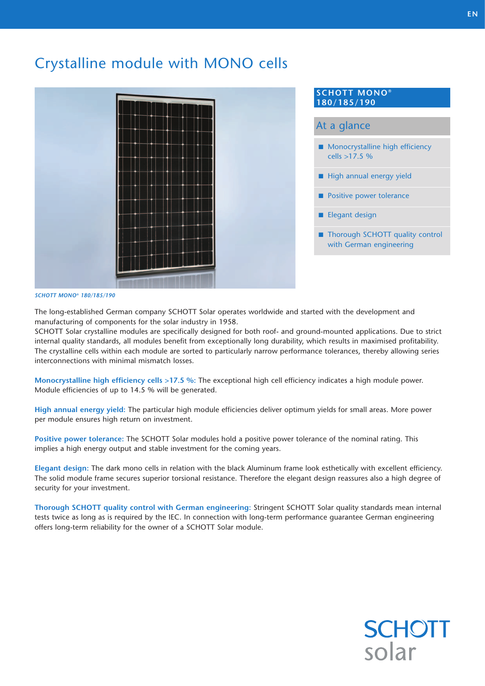# Crystalline module with MONO cells



#### **SCHOTT MONO® 180/185/190**

### At a glance

- **Monocrystalline high efficiency** cells >17.5 %
- High annual energy yield
- **Positive power tolerance**
- **Elegant design**
- Thorough SCHOTT quality control with German engineering

#### *SCHOTT MONO® 180/185/190*

The long-established German company SCHOTT Solar operates worldwide and started with the development and manufacturing of components for the solar industry in 1958.

SCHOTT Solar crystalline modules are specifically designed for both roof- and ground-mounted applications. Due to strict internal quality standards, all modules benefit from exceptionally long durability, which results in maximised profitability. The crystalline cells within each module are sorted to particularly narrow performance tolerances, thereby allowing series interconnections with minimal mismatch losses.

**Monocrystalline high efficiency cells >17.5 %:** The exceptional high cell efficiency indicates a high module power. Module efficiencies of up to 14.5 % will be generated.

**High annual energy yield:** The particular high module efficiencies deliver optimum yields for small areas. More power per module ensures high return on investment.

**Positive power tolerance:** The SCHOTT Solar modules hold a positive power tolerance of the nominal rating. This implies a high energy output and stable investment for the coming years.

**Elegant design:** The dark mono cells in relation with the black Aluminum frame look esthetically with excellent efficiency. The solid module frame secures superior torsional resistance. Therefore the elegant design reassures also a high degree of security for your investment.

**Thorough SCHOTT quality control with German engineering:** Stringent SCHOTT Solar quality standards mean internal tests twice as long as is required by the IEC. In connection with long-term performance guarantee German engineering offers long-term reliability for the owner of a SCHOTT Solar module.